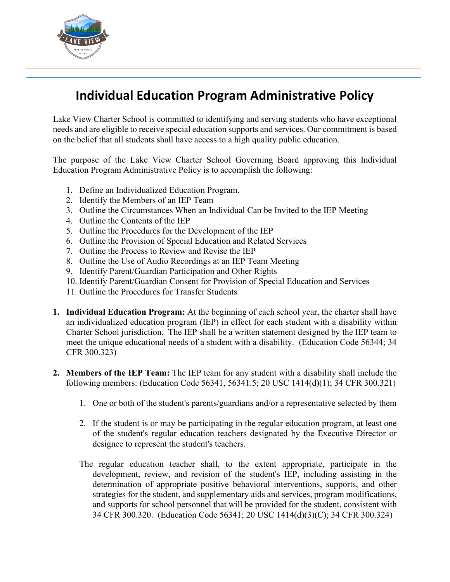

## **Individual Education Program Administrative Policy**

Lake View Charter School is committed to identifying and serving students who have exceptional needs and are eligible to receive special education supports and services. Our commitment is based on the belief that all students shall have access to a high quality public education.

The purpose of the Lake View Charter School Governing Board approving this Individual Education Program Administrative Policy is to accomplish the following:

- 1. Define an Individualized Education Program.
- 2. Identify the Members of an IEP Team
- 3. Outline the Circumstances When an Individual Can be Invited to the IEP Meeting
- 4. Outline the Contents of the IEP
- 5. Outline the Procedures for the Development of the IEP
- 6. Outline the Provision of Special Education and Related Services
- 7. Outline the Process to Review and Revise the IEP
- 8. Outline the Use of Audio Recordings at an IEP Team Meeting
- 9. Identify Parent/Guardian Participation and Other Rights
- 10. Identify Parent/Guardian Consent for Provision of Special Education and Services
- 11. Outline the Procedures for Transfer Students
- **1. Individual Education Program:** At the beginning of each school year, the charter shall have an individualized education program (IEP) in effect for each student with a disability within Charter School jurisdiction. The IEP shall be a written statement designed by the IEP team to meet the unique educational needs of a student with a disability. (Education Code 56344; 34 CFR 300.323)
- **2. Members of the IEP Team:** The IEP team for any student with a disability shall include the following members: (Education Code 56341, 56341.5; 20 USC 1414(d)(1); 34 CFR 300.321)
	- 1. One or both of the student's parents/guardians and/or a representative selected by them
	- 2. If the student is or may be participating in the regular education program, at least one of the student's regular education teachers designated by the Executive Director or designee to represent the student's teachers.
	- The regular education teacher shall, to the extent appropriate, participate in the development, review, and revision of the student's IEP, including assisting in the determination of appropriate positive behavioral interventions, supports, and other strategies for the student, and supplementary aids and services, program modifications, and supports for school personnel that will be provided for the student, consistent with 34 CFR 300.320. (Education Code 56341; 20 USC 1414(d)(3)(C); 34 CFR 300.324)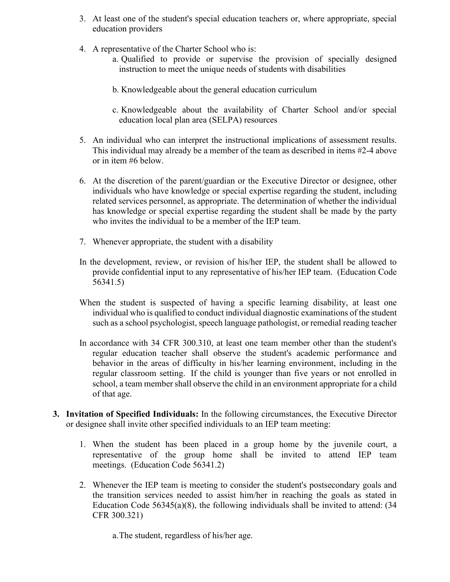- 3. At least one of the student's special education teachers or, where appropriate, special education providers
- 4. A representative of the Charter School who is:
	- a. Qualified to provide or supervise the provision of specially designed instruction to meet the unique needs of students with disabilities
	- b. Knowledgeable about the general education curriculum
	- c. Knowledgeable about the availability of Charter School and/or special education local plan area (SELPA) resources
- 5. An individual who can interpret the instructional implications of assessment results. This individual may already be a member of the team as described in items #2-4 above or in item #6 below.
- 6. At the discretion of the parent/guardian or the Executive Director or designee, other individuals who have knowledge or special expertise regarding the student, including related services personnel, as appropriate. The determination of whether the individual has knowledge or special expertise regarding the student shall be made by the party who invites the individual to be a member of the IEP team.
- 7. Whenever appropriate, the student with a disability
- In the development, review, or revision of his/her IEP, the student shall be allowed to provide confidential input to any representative of his/her IEP team. (Education Code 56341.5)
- When the student is suspected of having a specific learning disability, at least one individual who is qualified to conduct individual diagnostic examinations of the student such as a school psychologist, speech language pathologist, or remedial reading teacher
- In accordance with 34 CFR 300.310, at least one team member other than the student's regular education teacher shall observe the student's academic performance and behavior in the areas of difficulty in his/her learning environment, including in the regular classroom setting. If the child is younger than five years or not enrolled in school, a team member shall observe the child in an environment appropriate for a child of that age.
- **3. Invitation of Specified Individuals:** In the following circumstances, the Executive Director or designee shall invite other specified individuals to an IEP team meeting:
	- 1. When the student has been placed in a group home by the juvenile court, a representative of the group home shall be invited to attend IEP team meetings. (Education Code 56341.2)
	- 2. Whenever the IEP team is meeting to consider the student's postsecondary goals and the transition services needed to assist him/her in reaching the goals as stated in Education Code  $56345(a)(8)$ , the following individuals shall be invited to attend: (34) CFR 300.321)

a.The student, regardless of his/her age.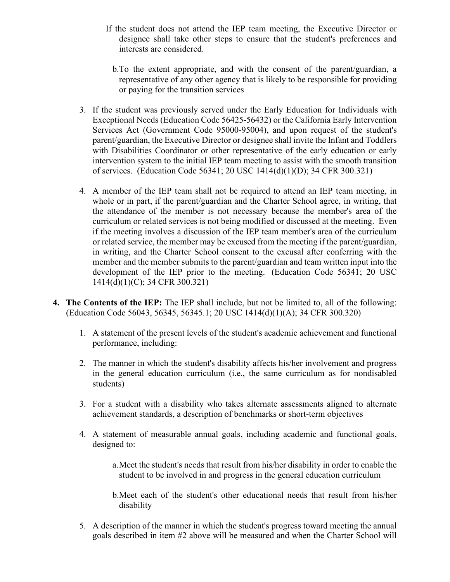- If the student does not attend the IEP team meeting, the Executive Director or designee shall take other steps to ensure that the student's preferences and interests are considered.
	- b.To the extent appropriate, and with the consent of the parent/guardian, a representative of any other agency that is likely to be responsible for providing or paying for the transition services
- 3. If the student was previously served under the Early Education for Individuals with Exceptional Needs (Education Code 56425-56432) or the California Early Intervention Services Act (Government Code 95000-95004), and upon request of the student's parent/guardian, the Executive Director or designee shall invite the Infant and Toddlers with Disabilities Coordinator or other representative of the early education or early intervention system to the initial IEP team meeting to assist with the smooth transition of services. (Education Code 56341; 20 USC 1414(d)(1)(D); 34 CFR 300.321)
- 4. A member of the IEP team shall not be required to attend an IEP team meeting, in whole or in part, if the parent/guardian and the Charter School agree, in writing, that the attendance of the member is not necessary because the member's area of the curriculum or related services is not being modified or discussed at the meeting. Even if the meeting involves a discussion of the IEP team member's area of the curriculum or related service, the member may be excused from the meeting if the parent/guardian, in writing, and the Charter School consent to the excusal after conferring with the member and the member submits to the parent/guardian and team written input into the development of the IEP prior to the meeting. (Education Code 56341; 20 USC 1414(d)(1)(C); 34 CFR 300.321)
- **4. The Contents of the IEP:** The IEP shall include, but not be limited to, all of the following: (Education Code 56043, 56345, 56345.1; 20 USC 1414(d)(1)(A); 34 CFR 300.320)
	- 1. A statement of the present levels of the student's academic achievement and functional performance, including:
	- 2. The manner in which the student's disability affects his/her involvement and progress in the general education curriculum (i.e., the same curriculum as for nondisabled students)
	- 3. For a student with a disability who takes alternate assessments aligned to alternate achievement standards, a description of benchmarks or short-term objectives
	- 4. A statement of measurable annual goals, including academic and functional goals, designed to:
		- a.Meet the student's needs that result from his/her disability in order to enable the student to be involved in and progress in the general education curriculum
		- b.Meet each of the student's other educational needs that result from his/her disability
	- 5. A description of the manner in which the student's progress toward meeting the annual goals described in item #2 above will be measured and when the Charter School will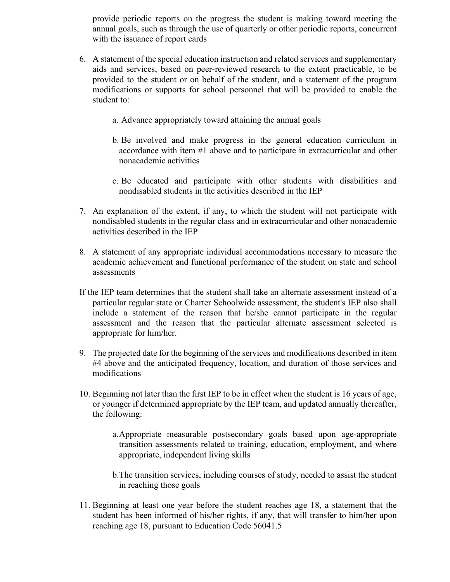provide periodic reports on the progress the student is making toward meeting the annual goals, such as through the use of quarterly or other periodic reports, concurrent with the issuance of report cards

- 6. A statement of the special education instruction and related services and supplementary aids and services, based on peer-reviewed research to the extent practicable, to be provided to the student or on behalf of the student, and a statement of the program modifications or supports for school personnel that will be provided to enable the student to:
	- a. Advance appropriately toward attaining the annual goals
	- b. Be involved and make progress in the general education curriculum in accordance with item #1 above and to participate in extracurricular and other nonacademic activities
	- c. Be educated and participate with other students with disabilities and nondisabled students in the activities described in the IEP
- 7. An explanation of the extent, if any, to which the student will not participate with nondisabled students in the regular class and in extracurricular and other nonacademic activities described in the IEP
- 8. A statement of any appropriate individual accommodations necessary to measure the academic achievement and functional performance of the student on state and school assessments
- If the IEP team determines that the student shall take an alternate assessment instead of a particular regular state or Charter Schoolwide assessment, the student's IEP also shall include a statement of the reason that he/she cannot participate in the regular assessment and the reason that the particular alternate assessment selected is appropriate for him/her.
- 9. The projected date for the beginning of the services and modifications described in item #4 above and the anticipated frequency, location, and duration of those services and modifications
- 10. Beginning not later than the first IEP to be in effect when the student is 16 years of age, or younger if determined appropriate by the IEP team, and updated annually thereafter, the following:
	- a.Appropriate measurable postsecondary goals based upon age-appropriate transition assessments related to training, education, employment, and where appropriate, independent living skills
	- b.The transition services, including courses of study, needed to assist the student in reaching those goals
- 11. Beginning at least one year before the student reaches age 18, a statement that the student has been informed of his/her rights, if any, that will transfer to him/her upon reaching age 18, pursuant to Education Code 56041.5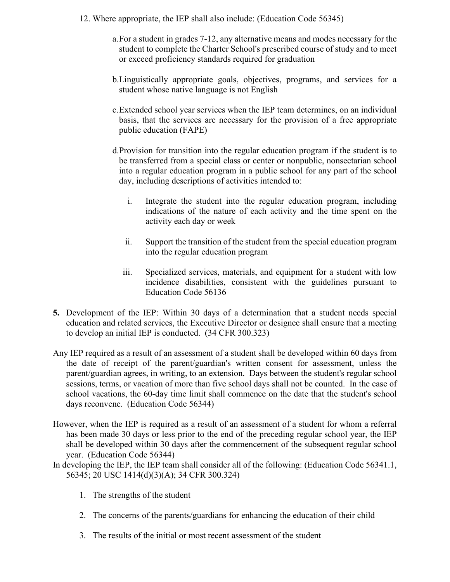- 12. Where appropriate, the IEP shall also include: (Education Code 56345)
	- a.For a student in grades 7-12, any alternative means and modes necessary for the student to complete the Charter School's prescribed course of study and to meet or exceed proficiency standards required for graduation
	- b.Linguistically appropriate goals, objectives, programs, and services for a student whose native language is not English
	- c.Extended school year services when the IEP team determines, on an individual basis, that the services are necessary for the provision of a free appropriate public education (FAPE)
	- d.Provision for transition into the regular education program if the student is to be transferred from a special class or center or nonpublic, nonsectarian school into a regular education program in a public school for any part of the school day, including descriptions of activities intended to:
		- i. Integrate the student into the regular education program, including indications of the nature of each activity and the time spent on the activity each day or week
		- ii. Support the transition of the student from the special education program into the regular education program
		- iii. Specialized services, materials, and equipment for a student with low incidence disabilities, consistent with the guidelines pursuant to Education Code 56136
- **5.** Development of the IEP: Within 30 days of a determination that a student needs special education and related services, the Executive Director or designee shall ensure that a meeting to develop an initial IEP is conducted. (34 CFR 300.323)
- Any IEP required as a result of an assessment of a student shall be developed within 60 days from the date of receipt of the parent/guardian's written consent for assessment, unless the parent/guardian agrees, in writing, to an extension. Days between the student's regular school sessions, terms, or vacation of more than five school days shall not be counted. In the case of school vacations, the 60-day time limit shall commence on the date that the student's school days reconvene. (Education Code 56344)
- However, when the IEP is required as a result of an assessment of a student for whom a referral has been made 30 days or less prior to the end of the preceding regular school year, the IEP shall be developed within 30 days after the commencement of the subsequent regular school year. (Education Code 56344)
- In developing the IEP, the IEP team shall consider all of the following: (Education Code 56341.1, 56345; 20 USC 1414(d)(3)(A); 34 CFR 300.324)
	- 1. The strengths of the student
	- 2. The concerns of the parents/guardians for enhancing the education of their child
	- 3. The results of the initial or most recent assessment of the student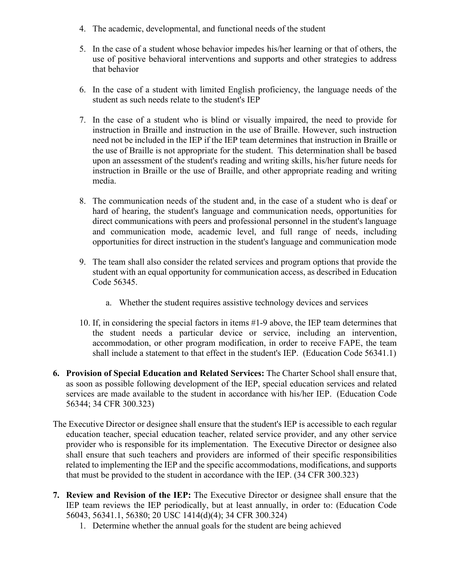- 4. The academic, developmental, and functional needs of the student
- 5. In the case of a student whose behavior impedes his/her learning or that of others, the use of positive behavioral interventions and supports and other strategies to address that behavior
- 6. In the case of a student with limited English proficiency, the language needs of the student as such needs relate to the student's IEP
- 7. In the case of a student who is blind or visually impaired, the need to provide for instruction in Braille and instruction in the use of Braille. However, such instruction need not be included in the IEP if the IEP team determines that instruction in Braille or the use of Braille is not appropriate for the student. This determination shall be based upon an assessment of the student's reading and writing skills, his/her future needs for instruction in Braille or the use of Braille, and other appropriate reading and writing media.
- 8. The communication needs of the student and, in the case of a student who is deaf or hard of hearing, the student's language and communication needs, opportunities for direct communications with peers and professional personnel in the student's language and communication mode, academic level, and full range of needs, including opportunities for direct instruction in the student's language and communication mode
- 9. The team shall also consider the related services and program options that provide the student with an equal opportunity for communication access, as described in Education Code 56345.
	- a. Whether the student requires assistive technology devices and services
- 10. If, in considering the special factors in items #1-9 above, the IEP team determines that the student needs a particular device or service, including an intervention, accommodation, or other program modification, in order to receive FAPE, the team shall include a statement to that effect in the student's IEP. (Education Code 56341.1)
- **6. Provision of Special Education and Related Services:** The Charter School shall ensure that, as soon as possible following development of the IEP, special education services and related services are made available to the student in accordance with his/her IEP. (Education Code 56344; 34 CFR 300.323)
- The Executive Director or designee shall ensure that the student's IEP is accessible to each regular education teacher, special education teacher, related service provider, and any other service provider who is responsible for its implementation. The Executive Director or designee also shall ensure that such teachers and providers are informed of their specific responsibilities related to implementing the IEP and the specific accommodations, modifications, and supports that must be provided to the student in accordance with the IEP. (34 CFR 300.323)
- **7. Review and Revision of the IEP:** The Executive Director or designee shall ensure that the IEP team reviews the IEP periodically, but at least annually, in order to: (Education Code 56043, 56341.1, 56380; 20 USC 1414(d)(4); 34 CFR 300.324)
	- 1. Determine whether the annual goals for the student are being achieved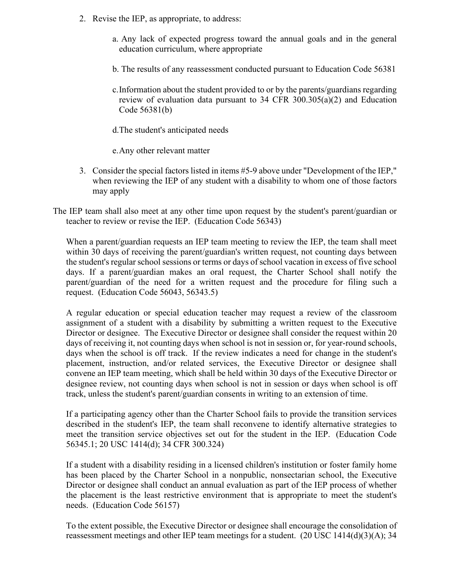- 2. Revise the IEP, as appropriate, to address:
	- a. Any lack of expected progress toward the annual goals and in the general education curriculum, where appropriate
	- b. The results of any reassessment conducted pursuant to Education Code 56381
	- c.Information about the student provided to or by the parents/guardians regarding review of evaluation data pursuant to 34 CFR 300.305(a)(2) and Education Code 56381(b)
	- d.The student's anticipated needs

e.Any other relevant matter

- 3. Consider the special factors listed in items #5-9 above under "Development of the IEP," when reviewing the IEP of any student with a disability to whom one of those factors may apply
- The IEP team shall also meet at any other time upon request by the student's parent/guardian or teacher to review or revise the IEP. (Education Code 56343)

When a parent/guardian requests an IEP team meeting to review the IEP, the team shall meet within 30 days of receiving the parent/guardian's written request, not counting days between the student's regular school sessions or terms or days of school vacation in excess of five school days. If a parent/guardian makes an oral request, the Charter School shall notify the parent/guardian of the need for a written request and the procedure for filing such a request. (Education Code 56043, 56343.5)

A regular education or special education teacher may request a review of the classroom assignment of a student with a disability by submitting a written request to the Executive Director or designee. The Executive Director or designee shall consider the request within 20 days of receiving it, not counting days when school is not in session or, for year-round schools, days when the school is off track. If the review indicates a need for change in the student's placement, instruction, and/or related services, the Executive Director or designee shall convene an IEP team meeting, which shall be held within 30 days of the Executive Director or designee review, not counting days when school is not in session or days when school is off track, unless the student's parent/guardian consents in writing to an extension of time.

If a participating agency other than the Charter School fails to provide the transition services described in the student's IEP, the team shall reconvene to identify alternative strategies to meet the transition service objectives set out for the student in the IEP. (Education Code 56345.1; 20 USC 1414(d); 34 CFR 300.324)

If a student with a disability residing in a licensed children's institution or foster family home has been placed by the Charter School in a nonpublic, nonsectarian school, the Executive Director or designee shall conduct an annual evaluation as part of the IEP process of whether the placement is the least restrictive environment that is appropriate to meet the student's needs. (Education Code 56157)

To the extent possible, the Executive Director or designee shall encourage the consolidation of reassessment meetings and other IEP team meetings for a student. (20 USC 1414(d)(3)(A); 34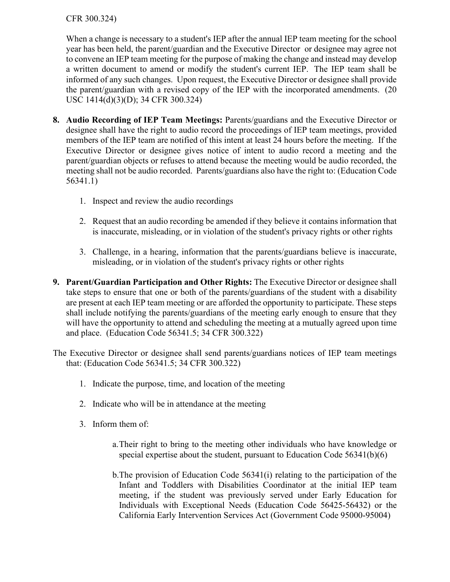## CFR 300.324)

When a change is necessary to a student's IEP after the annual IEP team meeting for the school year has been held, the parent/guardian and the Executive Director or designee may agree not to convene an IEP team meeting for the purpose of making the change and instead may develop a written document to amend or modify the student's current IEP. The IEP team shall be informed of any such changes. Upon request, the Executive Director or designee shall provide the parent/guardian with a revised copy of the IEP with the incorporated amendments. (20 USC 1414(d)(3)(D); 34 CFR 300.324)

- **8. Audio Recording of IEP Team Meetings:** Parents/guardians and the Executive Director or designee shall have the right to audio record the proceedings of IEP team meetings, provided members of the IEP team are notified of this intent at least 24 hours before the meeting. If the Executive Director or designee gives notice of intent to audio record a meeting and the parent/guardian objects or refuses to attend because the meeting would be audio recorded, the meeting shall not be audio recorded. Parents/guardians also have the right to: (Education Code 56341.1)
	- 1. Inspect and review the audio recordings
	- 2. Request that an audio recording be amended if they believe it contains information that is inaccurate, misleading, or in violation of the student's privacy rights or other rights
	- 3. Challenge, in a hearing, information that the parents/guardians believe is inaccurate, misleading, or in violation of the student's privacy rights or other rights
- **9. Parent/Guardian Participation and Other Rights:** The Executive Director or designee shall take steps to ensure that one or both of the parents/guardians of the student with a disability are present at each IEP team meeting or are afforded the opportunity to participate. These steps shall include notifying the parents/guardians of the meeting early enough to ensure that they will have the opportunity to attend and scheduling the meeting at a mutually agreed upon time and place. (Education Code 56341.5; 34 CFR 300.322)
- The Executive Director or designee shall send parents/guardians notices of IEP team meetings that: (Education Code 56341.5; 34 CFR 300.322)
	- 1. Indicate the purpose, time, and location of the meeting
	- 2. Indicate who will be in attendance at the meeting
	- 3. Inform them of:
		- a.Their right to bring to the meeting other individuals who have knowledge or special expertise about the student, pursuant to Education Code 56341(b)(6)
		- b.The provision of Education Code 56341(i) relating to the participation of the Infant and Toddlers with Disabilities Coordinator at the initial IEP team meeting, if the student was previously served under Early Education for Individuals with Exceptional Needs (Education Code 56425-56432) or the California Early Intervention Services Act (Government Code 95000-95004)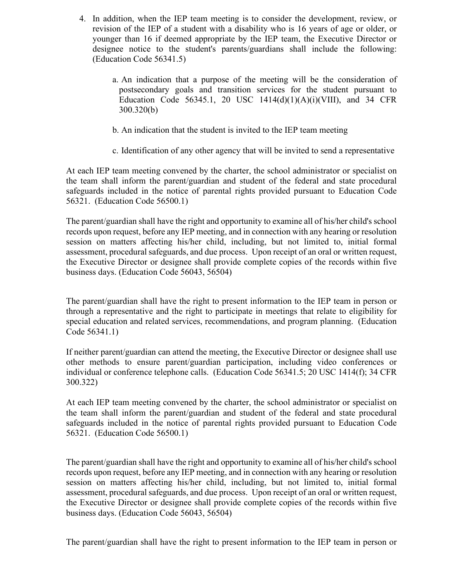- 4. In addition, when the IEP team meeting is to consider the development, review, or revision of the IEP of a student with a disability who is 16 years of age or older, or younger than 16 if deemed appropriate by the IEP team, the Executive Director or designee notice to the student's parents/guardians shall include the following: (Education Code 56341.5)
	- a. An indication that a purpose of the meeting will be the consideration of postsecondary goals and transition services for the student pursuant to Education Code 56345.1, 20 USC  $1414(d)(1)(A)(i)(VIII)$ , and 34 CFR 300.320(b)
	- b. An indication that the student is invited to the IEP team meeting
	- c. Identification of any other agency that will be invited to send a representative

At each IEP team meeting convened by the charter, the school administrator or specialist on the team shall inform the parent/guardian and student of the federal and state procedural safeguards included in the notice of parental rights provided pursuant to Education Code 56321. (Education Code 56500.1)

The parent/guardian shall have the right and opportunity to examine all of his/her child's school records upon request, before any IEP meeting, and in connection with any hearing or resolution session on matters affecting his/her child, including, but not limited to, initial formal assessment, procedural safeguards, and due process. Upon receipt of an oral or written request, the Executive Director or designee shall provide complete copies of the records within five business days. (Education Code 56043, 56504)

The parent/guardian shall have the right to present information to the IEP team in person or through a representative and the right to participate in meetings that relate to eligibility for special education and related services, recommendations, and program planning. (Education Code 56341.1)

If neither parent/guardian can attend the meeting, the Executive Director or designee shall use other methods to ensure parent/guardian participation, including video conferences or individual or conference telephone calls. (Education Code 56341.5; 20 USC 1414(f); 34 CFR 300.322)

At each IEP team meeting convened by the charter, the school administrator or specialist on the team shall inform the parent/guardian and student of the federal and state procedural safeguards included in the notice of parental rights provided pursuant to Education Code 56321. (Education Code 56500.1)

The parent/guardian shall have the right and opportunity to examine all of his/her child's school records upon request, before any IEP meeting, and in connection with any hearing or resolution session on matters affecting his/her child, including, but not limited to, initial formal assessment, procedural safeguards, and due process. Upon receipt of an oral or written request, the Executive Director or designee shall provide complete copies of the records within five business days. (Education Code 56043, 56504)

The parent/guardian shall have the right to present information to the IEP team in person or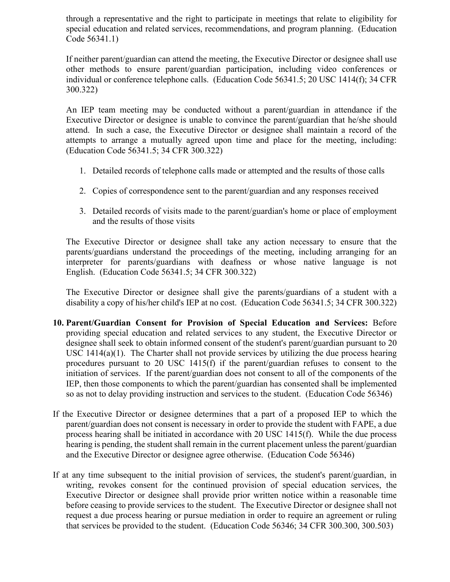through a representative and the right to participate in meetings that relate to eligibility for special education and related services, recommendations, and program planning. (Education Code 56341.1)

If neither parent/guardian can attend the meeting, the Executive Director or designee shall use other methods to ensure parent/guardian participation, including video conferences or individual or conference telephone calls. (Education Code 56341.5; 20 USC 1414(f); 34 CFR 300.322)

An IEP team meeting may be conducted without a parent/guardian in attendance if the Executive Director or designee is unable to convince the parent/guardian that he/she should attend. In such a case, the Executive Director or designee shall maintain a record of the attempts to arrange a mutually agreed upon time and place for the meeting, including: (Education Code 56341.5; 34 CFR 300.322)

- 1. Detailed records of telephone calls made or attempted and the results of those calls
- 2. Copies of correspondence sent to the parent/guardian and any responses received
- 3. Detailed records of visits made to the parent/guardian's home or place of employment and the results of those visits

The Executive Director or designee shall take any action necessary to ensure that the parents/guardians understand the proceedings of the meeting, including arranging for an interpreter for parents/guardians with deafness or whose native language is not English. (Education Code 56341.5; 34 CFR 300.322)

The Executive Director or designee shall give the parents/guardians of a student with a disability a copy of his/her child's IEP at no cost. (Education Code 56341.5; 34 CFR 300.322)

- **10. Parent/Guardian Consent for Provision of Special Education and Services:** Before providing special education and related services to any student, the Executive Director or designee shall seek to obtain informed consent of the student's parent/guardian pursuant to 20 USC 1414(a)(1). The Charter shall not provide services by utilizing the due process hearing procedures pursuant to 20 USC 1415(f) if the parent/guardian refuses to consent to the initiation of services. If the parent/guardian does not consent to all of the components of the IEP, then those components to which the parent/guardian has consented shall be implemented so as not to delay providing instruction and services to the student. (Education Code 56346)
- If the Executive Director or designee determines that a part of a proposed IEP to which the parent/guardian does not consent is necessary in order to provide the student with FAPE, a due process hearing shall be initiated in accordance with 20 USC 1415(f). While the due process hearing is pending, the student shall remain in the current placement unless the parent/guardian and the Executive Director or designee agree otherwise. (Education Code 56346)
- If at any time subsequent to the initial provision of services, the student's parent/guardian, in writing, revokes consent for the continued provision of special education services, the Executive Director or designee shall provide prior written notice within a reasonable time before ceasing to provide services to the student. The Executive Director or designee shall not request a due process hearing or pursue mediation in order to require an agreement or ruling that services be provided to the student. (Education Code 56346; 34 CFR 300.300, 300.503)